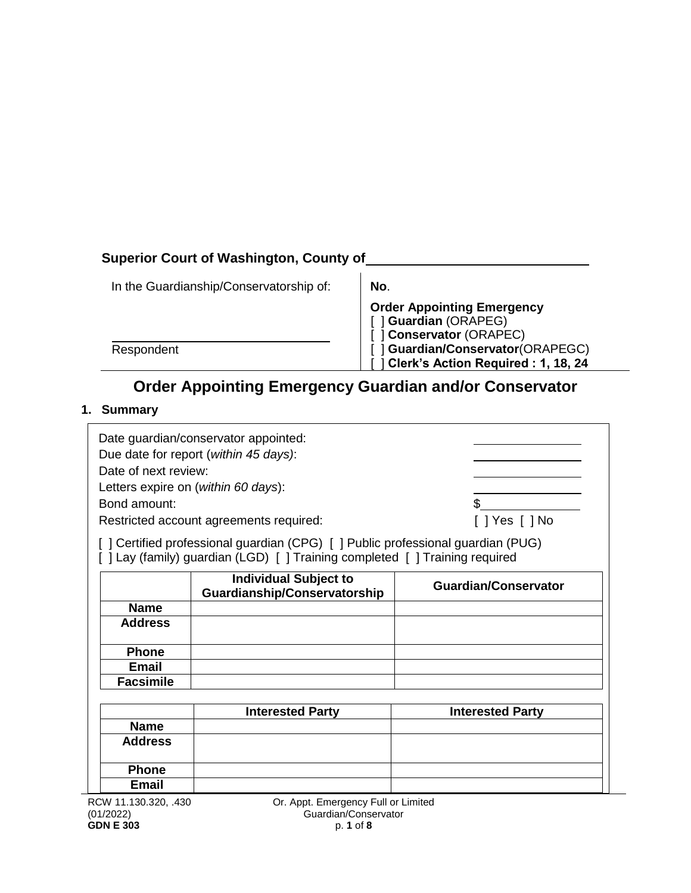# **Superior Court of Washington, County of**

| In the Guardianship/Conservatorship of: | No.                                                                                   |
|-----------------------------------------|---------------------------------------------------------------------------------------|
|                                         | <b>Order Appointing Emergency</b><br>Guardian (ORAPEG)<br><b>Conservator (ORAPEC)</b> |
| Respondent                              | Guardian/Conservator(ORAPEGC)<br>Clerk's Action Required: 1, 18, 24                   |

# **Order Appointing Emergency Guardian and/or Conservator**

### **1. Summary**

| Date of next review:<br>Bond amount: | Date guardian/conservator appointed:<br>Due date for report (within 45 days):<br>Letters expire on (within 60 days):<br>Restricted account agreements required:<br>[ ] Certified professional guardian (CPG) [ ] Public professional guardian (PUG)<br>[] Lay (family) guardian (LGD) [] Training completed [] Training required | [ ]Yes [ ]No                |  |
|--------------------------------------|----------------------------------------------------------------------------------------------------------------------------------------------------------------------------------------------------------------------------------------------------------------------------------------------------------------------------------|-----------------------------|--|
| <b>Individual Subject to</b>         |                                                                                                                                                                                                                                                                                                                                  |                             |  |
|                                      | <b>Guardianship/Conservatorship</b>                                                                                                                                                                                                                                                                                              | <b>Guardian/Conservator</b> |  |
| <b>Name</b>                          |                                                                                                                                                                                                                                                                                                                                  |                             |  |
| <b>Address</b>                       |                                                                                                                                                                                                                                                                                                                                  |                             |  |
| <b>Phone</b>                         |                                                                                                                                                                                                                                                                                                                                  |                             |  |
| <b>Email</b>                         |                                                                                                                                                                                                                                                                                                                                  |                             |  |
| <b>Facsimile</b>                     |                                                                                                                                                                                                                                                                                                                                  |                             |  |
|                                      |                                                                                                                                                                                                                                                                                                                                  |                             |  |
|                                      | <b>Interested Party</b><br><b>Interested Party</b>                                                                                                                                                                                                                                                                               |                             |  |
| <b>Name</b>                          |                                                                                                                                                                                                                                                                                                                                  |                             |  |
| <b>Address</b>                       |                                                                                                                                                                                                                                                                                                                                  |                             |  |
| <b>Phone</b>                         |                                                                                                                                                                                                                                                                                                                                  |                             |  |
| <b>Email</b>                         |                                                                                                                                                                                                                                                                                                                                  |                             |  |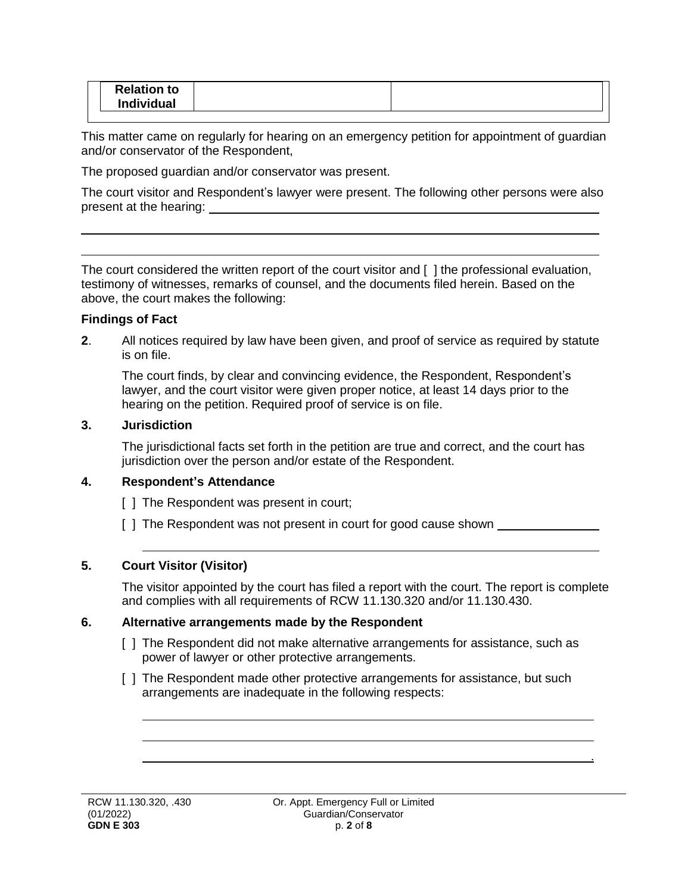| <b>Relation to</b> |  |  | Individual |  |  |
|--------------------|--|--|------------|--|--|
|--------------------|--|--|------------|--|--|

This matter came on regularly for hearing on an emergency petition for appointment of guardian and/or conservator of the Respondent,

The proposed guardian and/or conservator was present.

The court visitor and Respondent's lawyer were present. The following other persons were also present at the hearing:

The court considered the written report of the court visitor and [ ] the professional evaluation, testimony of witnesses, remarks of counsel, and the documents filed herein. Based on the above, the court makes the following:

#### **Findings of Fact**

**2**. All notices required by law have been given, and proof of service as required by statute is on file.

The court finds, by clear and convincing evidence, the Respondent, Respondent's lawyer, and the court visitor were given proper notice, at least 14 days prior to the hearing on the petition. Required proof of service is on file.

#### **3. Jurisdiction**

The jurisdictional facts set forth in the petition are true and correct, and the court has jurisdiction over the person and/or estate of the Respondent.

#### **4. Respondent's Attendance**

[ ] The Respondent was present in court;

[ ] The Respondent was not present in court for good cause shown \_\_\_\_\_\_\_\_\_\_\_\_\_\_

#### **5. Court Visitor (Visitor)**

The visitor appointed by the court has filed a report with the court. The report is complete and complies with all requirements of RCW 11.130.320 and/or 11.130.430.

#### **6. Alternative arrangements made by the Respondent**

- [ ] The Respondent did not make alternative arrangements for assistance, such as power of lawyer or other protective arrangements.
- [ ] The Respondent made other protective arrangements for assistance, but such arrangements are inadequate in the following respects:

.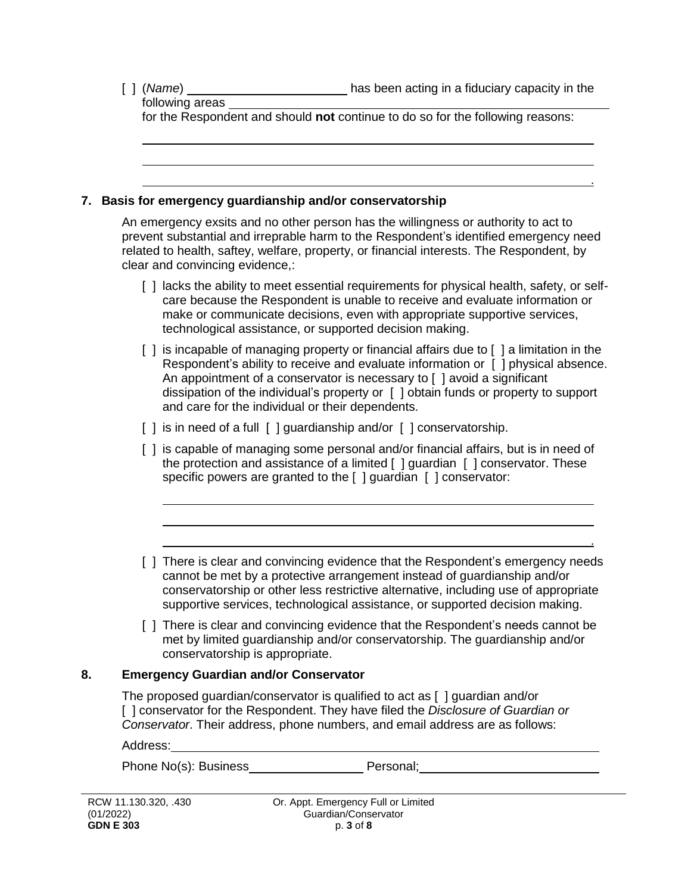.

.

following areas for the Respondent and should **not** continue to do so for the following reasons:

#### **7. Basis for emergency guardianship and/or conservatorship**

An emergency exsits and no other person has the willingness or authority to act to prevent substantial and irreprable harm to the Respondent's identified emergency need related to health, saftey, welfare, property, or financial interests. The Respondent, by clear and convincing evidence,:

- [ ] lacks the ability to meet essential requirements for physical health, safety, or selfcare because the Respondent is unable to receive and evaluate information or make or communicate decisions, even with appropriate supportive services, technological assistance, or supported decision making.
- [ ] is incapable of managing property or financial affairs due to [ ] a limitation in the Respondent's ability to receive and evaluate information or [ ] physical absence. An appointment of a conservator is necessary to [ ] avoid a significant dissipation of the individual's property or [ ] obtain funds or property to support and care for the individual or their dependents.
- [] is in need of a full [] guardianship and/or [] conservatorship.
- [ ] is capable of managing some personal and/or financial affairs, but is in need of the protection and assistance of a limited [ ] guardian [ ] conservator. These specific powers are granted to the [ ] guardian [ ] conservator:
- [ ] There is clear and convincing evidence that the Respondent's emergency needs cannot be met by a protective arrangement instead of guardianship and/or conservatorship or other less restrictive alternative, including use of appropriate supportive services, technological assistance, or supported decision making.
- [ ] There is clear and convincing evidence that the Respondent's needs cannot be met by limited guardianship and/or conservatorship. The guardianship and/or conservatorship is appropriate.

#### **8. Emergency Guardian and/or Conservator**

The proposed guardian/conservator is qualified to act as [ ] guardian and/or [ ] conservator for the Respondent. They have filed the *Disclosure of Guardian or Conservator*. Their address, phone numbers, and email address are as follows:

Address:

Phone No(s): Business Personal;

| RCW 11.130.320, .430 |
|----------------------|
| (01/2022)            |
| <b>GDN E 303</b>     |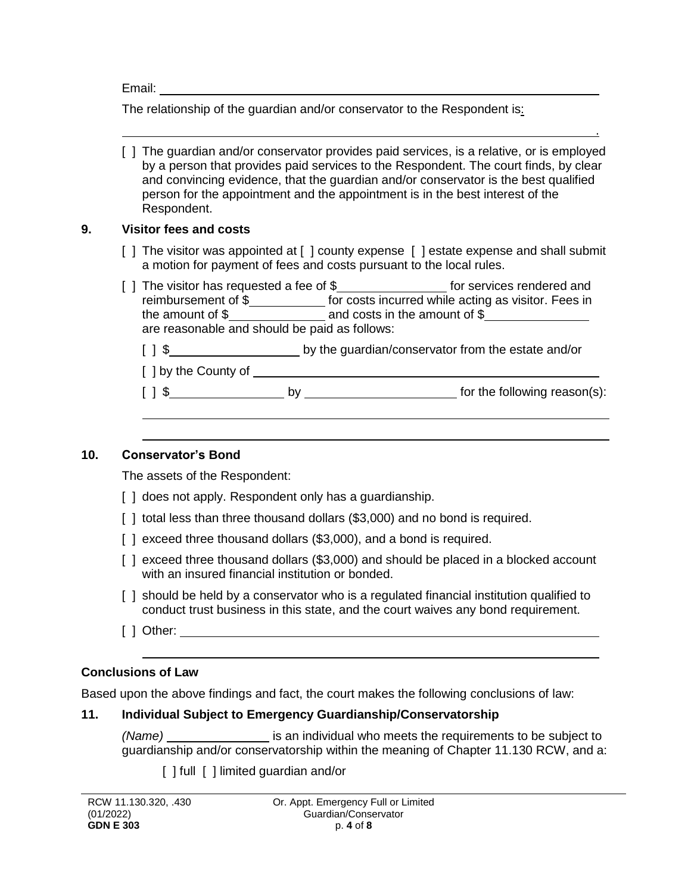Email:

The relationship of the guardian and/or conservator to the Respondent is:

| [ ] The guardian and/or conservator provides paid services, is a relative, or is employed |
|-------------------------------------------------------------------------------------------|
| by a person that provides paid services to the Respondent. The court finds, by clear      |
| and convincing evidence, that the guardian and/or conservator is the best qualified       |
| person for the appointment and the appointment is in the best interest of the             |
| Respondent.                                                                               |

.

#### **9. Visitor fees and costs**

- [ ] The visitor was appointed at [ ] county expense [ ] estate expense and shall submit a motion for payment of fees and costs pursuant to the local rules.
- [ ] The visitor has requested a fee of \$\_\_\_\_\_\_\_\_\_\_\_\_\_\_\_\_\_\_\_\_ for services rendered and reimbursement of \$\_\_\_\_\_\_\_\_\_\_\_\_\_\_ for costs incurred while acting as visitor. Fees in the amount of  $\frac{1}{2}$  and costs in the amount of  $\frac{1}{2}$ are reasonable and should be paid as follows:
	- [ ] \$ by the guardian/conservator from the estate and/or
	- [ ] by the County of
	- [ ] \$

#### **10. Conservator's Bond**

The assets of the Respondent:

- [ ] does not apply. Respondent only has a guardianship.
- [] total less than three thousand dollars (\$3,000) and no bond is required.
- [] exceed three thousand dollars (\$3,000), and a bond is required.
- [ ] exceed three thousand dollars (\$3,000) and should be placed in a blocked account with an insured financial institution or bonded.
- [ ] should be held by a conservator who is a regulated financial institution qualified to conduct trust business in this state, and the court waives any bond requirement.
- [ ] Other:

### **Conclusions of Law**

Based upon the above findings and fact, the court makes the following conclusions of law:

### **11. Individual Subject to Emergency Guardianship/Conservatorship**

*(Name)* is an individual who meets the requirements to be subject to guardianship and/or conservatorship within the meaning of Chapter 11.130 RCW, and a:

[ ] full [ ] limited guardian and/or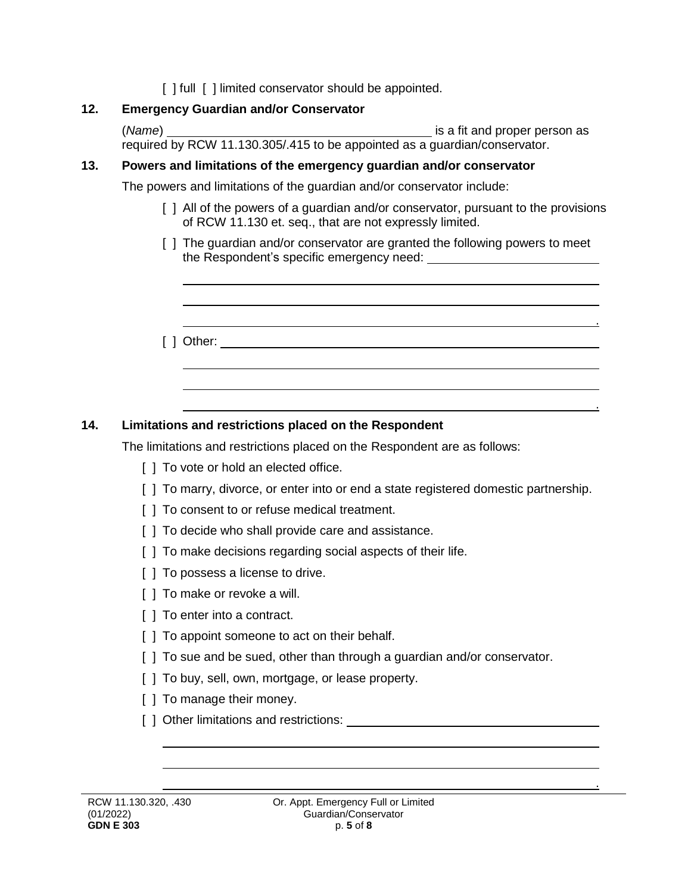[ ] full [ ] limited conservator should be appointed.

### **12. Emergency Guardian and/or Conservator**

(Name) **is a fit and proper person as** is a fit and proper person as required by RCW 11.130.305/.415 to be appointed as a guardian/conservator.

### **13. Powers and limitations of the emergency guardian and/or conservator**

The powers and limitations of the guardian and/or conservator include:

[ ] All of the powers of a guardian and/or conservator, pursuant to the provisions of RCW 11.130 et. seq., that are not expressly limited.

.

.

.

- [ ] The quardian and/or conservator are granted the following powers to meet the Respondent's specific emergency need:
- [ ] Other:

# **14. Limitations and restrictions placed on the Respondent**

The limitations and restrictions placed on the Respondent are as follows:

- [ ] To vote or hold an elected office.
- [ ] To marry, divorce, or enter into or end a state registered domestic partnership.
- [] To consent to or refuse medical treatment.
- [] To decide who shall provide care and assistance.
- [ ] To make decisions regarding social aspects of their life.
- [  $\vert$  ] To possess a license to drive.
- [ ] To make or revoke a will.
- [  $\vert$  To enter into a contract.
- [] To appoint someone to act on their behalf.
- [] To sue and be sued, other than through a guardian and/or conservator.
- [  $\vert$  To buy, sell, own, mortgage, or lease property.
- [ ] To manage their money.
- [ ] Other limitations and restrictions: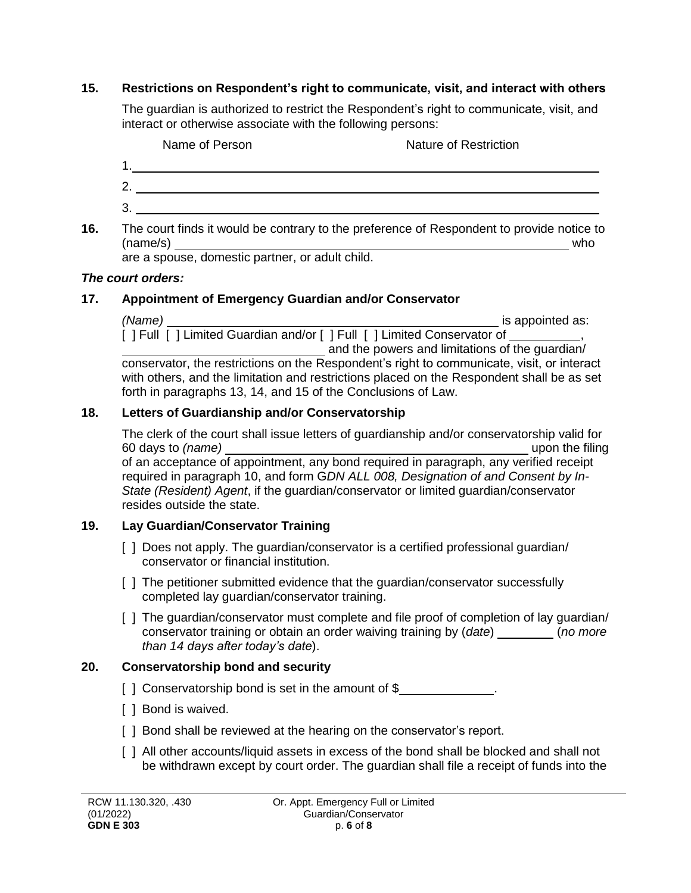### **15. Restrictions on Respondent's right to communicate, visit, and interact with others**

The guardian is authorized to restrict the Respondent's right to communicate, visit, and interact or otherwise associate with the following persons:



**16.** The court finds it would be contrary to the preference of Respondent to provide notice to  $(name/s)$  who

are a spouse, domestic partner, or adult child.

### *The court orders:*

## **17. Appointment of Emergency Guardian and/or Conservator**

*(Name)* is appointed as: [ ] Full [ ] Limited Guardian and/or [ ] Full [ ] Limited Conservator of  $\overline{\phantom{a}}$ and the powers and limitations of the guardian/ conservator, the restrictions on the Respondent's right to communicate, visit, or interact with others, and the limitation and restrictions placed on the Respondent shall be as set forth in paragraphs 13, 14, and 15 of the Conclusions of Law.

## **18. Letters of Guardianship and/or Conservatorship**

The clerk of the court shall issue letters of guardianship and/or conservatorship valid for 60 days to *(name)* upon the filing of an acceptance of appointment, any bond required in paragraph, any verified receipt

required in paragraph 10, and form G*DN ALL 008, Designation of and Consent by In-State (Resident) Agent*, if the guardian/conservator or limited guardian/conservator resides outside the state.

# **19. Lay Guardian/Conservator Training**

- [ ] Does not apply. The guardian/conservator is a certified professional guardian/ conservator or financial institution.
- [ ] The petitioner submitted evidence that the guardian/conservator successfully completed lay guardian/conservator training.
- [] The guardian/conservator must complete and file proof of completion of lay guardian/ conservator training or obtain an order waiving training by (*date*) (*no more than 14 days after today's date*).

# **20. Conservatorship bond and security**

- [ ] Conservatorship bond is set in the amount of \$
- [ ] Bond is waived.
- [] Bond shall be reviewed at the hearing on the conservator's report.
- [ ] All other accounts/liquid assets in excess of the bond shall be blocked and shall not be withdrawn except by court order. The guardian shall file a receipt of funds into the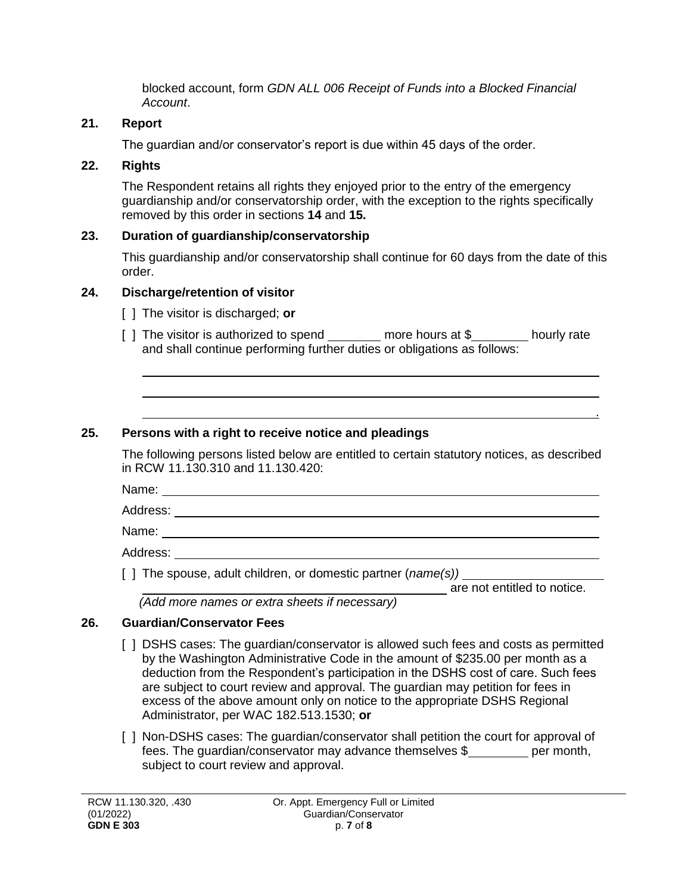blocked account, form *GDN ALL 006 Receipt of Funds into a Blocked Financial Account*.

# **21. Report**

The guardian and/or conservator's report is due within 45 days of the order.

# **22. Rights**

The Respondent retains all rights they enjoyed prior to the entry of the emergency guardianship and/or conservatorship order, with the exception to the rights specifically removed by this order in sections **14** and **15.**

# **23. Duration of guardianship/conservatorship**

This guardianship and/or conservatorship shall continue for 60 days from the date of this order.

# **24. Discharge/retention of visitor**

- [ ] The visitor is discharged; **or**
- [ ] The visitor is authorized to spend \_\_\_\_\_\_\_ more hours at \$\_\_\_\_\_\_\_ hourly rate and shall continue performing further duties or obligations as follows:

# **25. Persons with a right to receive notice and pleadings**

The following persons listed below are entitled to certain statutory notices, as described in RCW 11.130.310 and 11.130.420:

Name:

Address:

Name:

Address: \_\_\_\_\_\_\_

[ ] The spouse, adult children, or domestic partner (*name(s))*

**are not entitled to notice.** 

.

 *(Add more names or extra sheets if necessary)*

# **26. Guardian/Conservator Fees**

- [ ] DSHS cases: The guardian/conservator is allowed such fees and costs as permitted by the Washington Administrative Code in the amount of \$235.00 per month as a deduction from the Respondent's participation in the DSHS cost of care. Such fees are subject to court review and approval. The guardian may petition for fees in excess of the above amount only on notice to the appropriate DSHS Regional Administrator, per WAC 182.513.1530; **or**
- [ ] Non-DSHS cases: The guardian/conservator shall petition the court for approval of fees. The guardian/conservator may advance themselves \$ per month, subject to court review and approval.